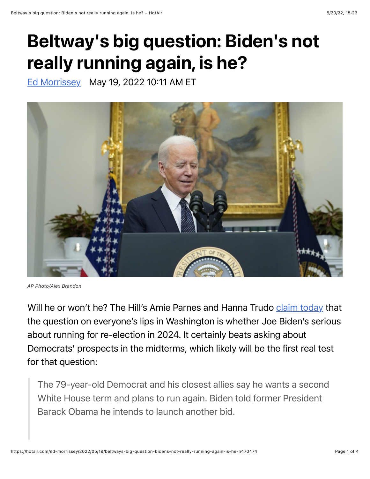## Beltway's big question: Biden's not really running again, is he?

[Ed Morrissey](https://hotair.com/author/ed-morrissey) May 19, 2022 10:11 AM ET



*AP Photo/Alex Brandon*

Will he or won't he? The Hill's Amie Parnes and Hanna Trudo [claim today](https://thehill.com/news/administration/3493586-speculation-over-whether-biden-will-run-again-heats-up/) that the question on everyone's lips in Washington is whether Joe Biden's serious about running for re-election in 2024. It certainly beats asking about Democrats' prospects in the midterms, which likely will be the first real test for that question:

The 79-year-old Democrat and his closest allies say he wants a second White House term and plans to run again. Biden told former President Barack Obama he intends to launch another bid.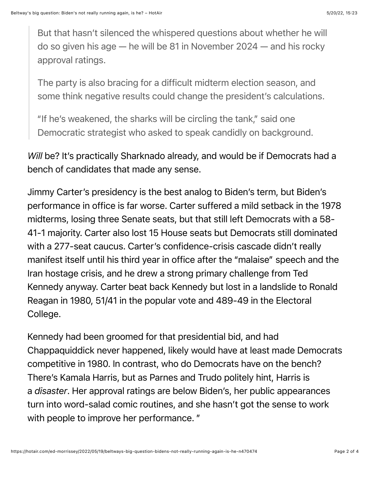But that hasn't silenced the whispered questions about whether he will do so given his age — he will be 81 in November 2024 — and his rocky approval ratings.

The party is also bracing for a difficult midterm election season, and some think negative results could change the president's calculations.

"If he's weakened, the sharks will be circling the tank," said one Democratic strategist who asked to speak candidly on background.

*Will* be? It's practically Sharknado already, and would be if Democrats had a bench of candidates that made any sense.

Jimmy Carter's presidency is the best analog to Biden's term, but Biden's performance in office is far worse. Carter suffered a mild setback in the 1978 midterms, losing three Senate seats, but that still left Democrats with a 58- 41-1 majority. Carter also lost 15 House seats but Democrats still dominated with a 277-seat caucus. Carter's confidence-crisis cascade didn't really manifest itself until his third year in office after the "malaise" speech and the Iran hostage crisis, and he drew a strong primary challenge from Ted Kennedy anyway. Carter beat back Kennedy but lost in a landslide to Ronald Reagan in 1980, 51/41 in the popular vote and 489-49 in the Electoral College.

Kennedy had been groomed for that presidential bid, and had Chappaquiddick never happened, likely would have at least made Democrats competitive in 1980. In contrast, who do Democrats have on the bench? There's Kamala Harris, but as Parnes and Trudo politely hint, Harris is a *disaster*. Her approval ratings are below Biden's, her public appearances turn into word-salad comic routines, and she hasn't got the sense to work with people to improve her performance. "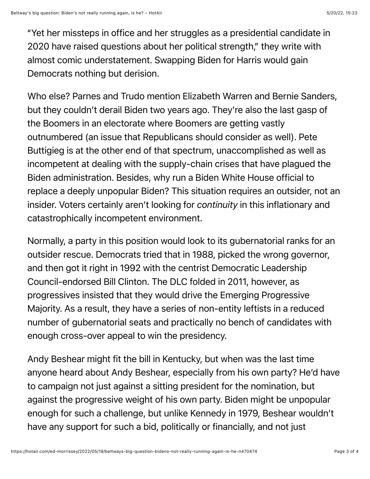"Yet her missteps in office and her struggles as a presidential candidate in 2020 have raised questions about her political strength," they write with almost comic understatement. Swapping Biden for Harris would gain Democrats nothing but derision.

Who else? Parnes and Trudo mention Elizabeth Warren and Bernie Sanders, but they couldn't derail Biden two years ago. They're also the last gasp of the Boomers in an electorate where Boomers are getting vastly outnumbered (an issue that Republicans should consider as well). Pete Buttigieg is at the other end of that spectrum, unaccomplished as well as incompetent at dealing with the supply-chain crises that have plagued the Biden administration. Besides, why run a Biden White House official to replace a deeply unpopular Biden? This situation requires an outsider, not an insider. Voters certainly aren't looking for *continuity* in this inflationary and catastrophically incompetent environment.

Normally, a party in this position would look to its gubernatorial ranks for an outsider rescue. Democrats tried that in 1988, picked the wrong governor, and then got it right in 1992 with the centrist Democratic Leadership Council-endorsed Bill Clinton. The DLC folded in 2011, however, as progressives insisted that they would drive the Emerging Progressive Majority. As a result, they have a series of non-entity leftists in a reduced number of gubernatorial seats and practically no bench of candidates with enough cross-over appeal to win the presidency.

Andy Beshear might fit the bill in Kentucky, but when was the last time anyone heard about Andy Beshear, especially from his own party? He'd have to campaign not just against a sitting president for the nomination, but against the progressive weight of his own party. Biden might be unpopular enough for such a challenge, but unlike Kennedy in 1979, Beshear wouldn't have any support for such a bid, politically or financially, and not just